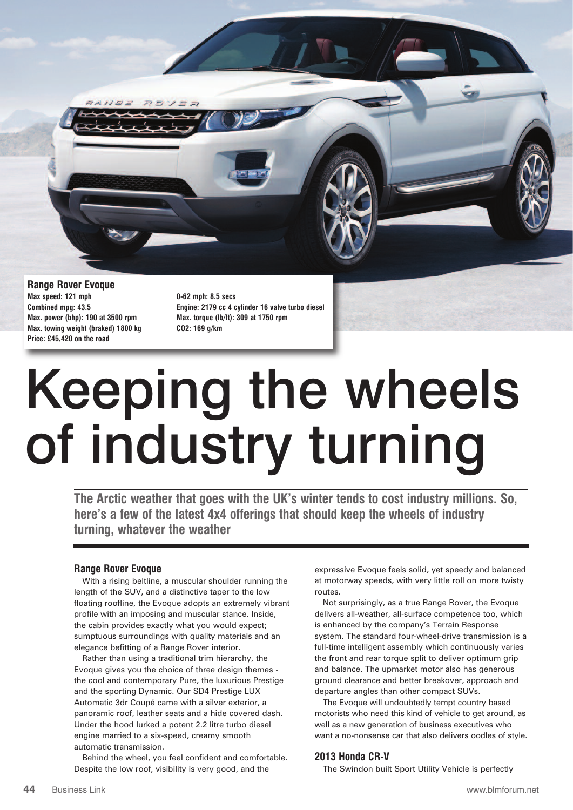

**Range Rover Evoque Max speed: 121 mph 0-62 mph: 8.5 secs Max. power (bhp): 190 at 3500 rpm Max. torque (lb/ft): 309 at 1750 rpm Max. towing weight (braked) 1800 kg CO2: 169 g/km Price: £45,420 on the road**

**Combined mpg: 43.5 Engine: 2179 cc 4 cylinder 16 valve turbo diesel**

## Keeping the wheels of industry turning

**The Arctic weather that goes with the UK's winter tends to cost industry millions. So, here's a few of the latest 4x4 offerings that should keep the wheels of industry turning, whatever the weather**

## **Range Rover Evoque**

With a rising beltline, a muscular shoulder running the length of the SUV, and a distinctive taper to the low floating roofline, the Evoque adopts an extremely vibrant profile with an imposing and muscular stance. Inside, the cabin provides exactly what you would expect; sumptuous surroundings with quality materials and an elegance befitting of a Range Rover interior.

Rather than using a traditional trim hierarchy, the Evoque gives you the choice of three design themes the cool and contemporary Pure, the luxurious Prestige and the sporting Dynamic. Our SD4 Prestige LUX Automatic 3dr Coupé came with a silver exterior, a panoramic roof, leather seats and a hide covered dash. Under the hood lurked a potent 2.2 litre turbo diesel engine married to a six-speed, creamy smooth automatic transmission.

Behind the wheel, you feel confident and comfortable. Despite the low roof, visibility is very good, and the

expressive Evoque feels solid, yet speedy and balanced at motorway speeds, with very little roll on more twisty routes.

Not surprisingly, as a true Range Rover, the Evoque delivers all-weather, all-surface competence too, which is enhanced by the company's Terrain Response system. The standard four-wheel-drive transmission is a full-time intelligent assembly which continuously varies the front and rear torque split to deliver optimum grip and balance. The upmarket motor also has generous ground clearance and better breakover, approach and departure angles than other compact SUVs.

The Evoque will undoubtedly tempt country based motorists who need this kind of vehicle to get around, as well as a new generation of business executives who want a no-nonsense car that also delivers oodles of style.

## **2013 Honda CR-V**

The Swindon built Sport Utility Vehicle is perfectly